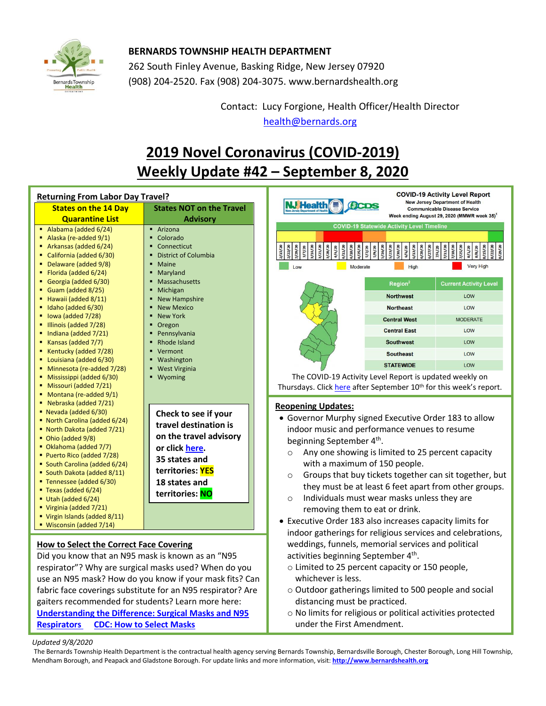

## **BERNARDS TOWNSHIP HEALTH DEPARTMENT**

262 South Finley Avenue, Basking Ridge, New Jersey 07920 (908) 204-2520. Fax (908) 204-3075[. www.bernardshealth.org](http://www.bernardshealth.org/)

> Contact: Lucy Forgione, Health Officer/Health Director [health@bernards.org](mailto:health@bernards.org)

# **2019 Novel Coronavirus (COVID-2019) Weekly Update #42 – September 8, 2020**

| <b>Returning From Labor Day Travel?</b>                                                                                                                                                                                                                                                                                                                                                                                                                                          |                                                                                                                                                                    | <b>COVID-19 Activity Level Report</b><br><b>New Jersey Department of Health</b>                                                                                                                                                                                                                                                                                                                                                                                                                                                                                                                                      |                                                                                                                                 |
|----------------------------------------------------------------------------------------------------------------------------------------------------------------------------------------------------------------------------------------------------------------------------------------------------------------------------------------------------------------------------------------------------------------------------------------------------------------------------------|--------------------------------------------------------------------------------------------------------------------------------------------------------------------|----------------------------------------------------------------------------------------------------------------------------------------------------------------------------------------------------------------------------------------------------------------------------------------------------------------------------------------------------------------------------------------------------------------------------------------------------------------------------------------------------------------------------------------------------------------------------------------------------------------------|---------------------------------------------------------------------------------------------------------------------------------|
| <b>States on the 14 Day</b>                                                                                                                                                                                                                                                                                                                                                                                                                                                      | <b>States NOT on the Travel</b>                                                                                                                                    | <b>J</b> Healtl<br><b>CDS</b><br><b>Communicable Disease Service</b>                                                                                                                                                                                                                                                                                                                                                                                                                                                                                                                                                 |                                                                                                                                 |
| <b>Quarantine List</b>                                                                                                                                                                                                                                                                                                                                                                                                                                                           | <b>Advisory</b>                                                                                                                                                    |                                                                                                                                                                                                                                                                                                                                                                                                                                                                                                                                                                                                                      | Week ending August 29, 2020 (MMWR week 35) <sup>1</sup>                                                                         |
| Alabama (added 6/24)<br>Alaska (re-added 9/1)<br>Arkansas (added 6/24)<br>California (added 6/30)<br>٠<br>Delaware (added 9/8)<br>Florida (added 6/24)<br>Georgia (added 6/30)<br>Guam (added 8/25)<br>Hawaii (added 8/11)                                                                                                                                                                                                                                                       | • Arizona<br>• Colorado<br>Connecticut<br><b>District of Columbia</b><br>Maine<br>Maryland<br><b>Massachusetts</b><br>Michigan<br>• New Hampshire                  | <b>COVID-19 Statewide Activity Level Timeline</b><br>z/z/20<br>g/z/z<br><b>x/6/s</b><br>3/7/20<br>1/18/2<br>5/16/2<br>5/23/2<br>g/96/2<br>6/6/20<br>$\frac{1}{2}$<br>1/4/20<br>5/13/2<br>Moderate<br>High<br>Low<br>Region <sup>2</sup><br><b>Northwest</b>                                                                                                                                                                                                                                                                                                                                                          | $x/t = 1/20$<br>7/11/2<br>6/27/2<br>g/8/2<br>1/25/<br>$\frac{1}{2}$<br><b>Very High</b><br><b>Current Activity Level</b><br>LOW |
| Idaho (added 6/30)                                                                                                                                                                                                                                                                                                                                                                                                                                                               | <b>New Mexico</b>                                                                                                                                                  | <b>Northeast</b>                                                                                                                                                                                                                                                                                                                                                                                                                                                                                                                                                                                                     | LOW                                                                                                                             |
| lowa (added 7/28)<br>٠<br>- Illinois (added 7/28)                                                                                                                                                                                                                                                                                                                                                                                                                                | <b>New York</b><br>Oregon                                                                                                                                          | <b>Central West</b>                                                                                                                                                                                                                                                                                                                                                                                                                                                                                                                                                                                                  | <b>MODERATE</b>                                                                                                                 |
| Indiana (added 7/21)<br>٠                                                                                                                                                                                                                                                                                                                                                                                                                                                        | Pennsylvania                                                                                                                                                       | <b>Central East</b>                                                                                                                                                                                                                                                                                                                                                                                                                                                                                                                                                                                                  | LOW                                                                                                                             |
| Kansas (added 7/7)<br>٠                                                                                                                                                                                                                                                                                                                                                                                                                                                          | Rhode Island                                                                                                                                                       | <b>Southwest</b>                                                                                                                                                                                                                                                                                                                                                                                                                                                                                                                                                                                                     | LOW                                                                                                                             |
| Kentucky (added 7/28)<br>Louisiana (added 6/30)<br>٠                                                                                                                                                                                                                                                                                                                                                                                                                             | Vermont<br>■ Washington                                                                                                                                            | <b>Southeast</b>                                                                                                                                                                                                                                                                                                                                                                                                                                                                                                                                                                                                     | LOW                                                                                                                             |
| Minnesota (re-added 7/28)                                                                                                                                                                                                                                                                                                                                                                                                                                                        | <b>West Virginia</b>                                                                                                                                               | <b>STATEWIDE</b>                                                                                                                                                                                                                                                                                                                                                                                                                                                                                                                                                                                                     | LOW                                                                                                                             |
| Mississippi (added 6/30)<br>• Missouri (added 7/21)<br>Montana (re-added 9/1)                                                                                                                                                                                                                                                                                                                                                                                                    | ■ Wyoming                                                                                                                                                          | The COVID-19 Activity Level Report is updated weekly on<br>Thursdays. Click here after September 10 <sup>th</sup> for this week's report.                                                                                                                                                                                                                                                                                                                                                                                                                                                                            |                                                                                                                                 |
| Nebraska (added 7/21)<br>٠<br>$\blacksquare$ Nevada (added 6/30)<br>• North Carolina (added 6/24)<br>• North Dakota (added 7/21)<br>$\bullet$ Ohio (added 9/8)<br>• Oklahoma (added 7/7)<br>Puerto Rico (added 7/28)<br>• South Carolina (added 6/24)<br>South Dakota (added 8/11)<br>■ Tennessee (added 6/30)<br>$\blacksquare$ Texas (added 6/24)<br>$\blacksquare$ Utah (added 6/24)<br>Virginia (added $7/21$ )<br>" Virgin Islands (added 8/11)<br>• Wisconsin (added 7/14) | Check to see if your<br>travel destination is<br>on the travel advisory<br>or click here.<br>35 states and<br>territories: YES<br>18 states and<br>territories: NO | <b>Reopening Updates:</b><br>• Governor Murphy signed Executive Order 183 to allow<br>indoor music and performance venues to resume<br>beginning September 4th.<br>Any one showing is limited to 25 percent capacity<br>$\circ$<br>with a maximum of 150 people.<br>Groups that buy tickets together can sit together, but<br>$\circ$<br>they must be at least 6 feet apart from other groups.<br>Individuals must wear masks unless they are<br>$\circ$<br>removing them to eat or drink.<br>• Executive Order 183 also increases capacity limits for<br>indoor gatherings for religious services and celebrations, |                                                                                                                                 |
| <b>How to Select the Correct Face Covering</b><br>Did you know that an N95 mask is known as an "N95<br>respirator"? Why are surgical masks used? When do you<br>use an N95 mask? How do you know if your mask fits? Can<br>fabric face coverings substitute for an N95 respirator? Are                                                                                                                                                                                           |                                                                                                                                                                    | weddings, funnels, memorial services and political<br>activities beginning September 4th.<br>o Limited to 25 percent capacity or 150 people,<br>whichever is less.<br>o Outdoor gatherings limited to 500 people and social                                                                                                                                                                                                                                                                                                                                                                                          |                                                                                                                                 |

distancing must be practiced. gaiters recommended for students? Learn more here: **[Understanding the Difference: Surgical Masks and N95](http://www.bernardshealth.org/HDDocuments/HealthAlerts/2019-nCoV/understanddifferenceinfographic-508.pdf)  [Respirators](http://www.bernardshealth.org/HDDocuments/HealthAlerts/2019-nCoV/understanddifferenceinfographic-508.pdf) CDC: How to [Select Masks](https://www.cdc.gov/coronavirus/2019-ncov/prevent-getting-sick/about-face-coverings.html)**

### o No limits for religious or political activities protected under the First Amendment.

#### *Updated 9/8/2020*

The Bernards Township Health Department is the contractual health agency serving Bernards Township, Bernardsville Borough, Chester Borough, Long Hill Township, Mendham Borough, and Peapack and Gladstone Borough. For update links and more information, visit: **[http://www.bernardshealth.org](http://www.bernardshealth.org/)**